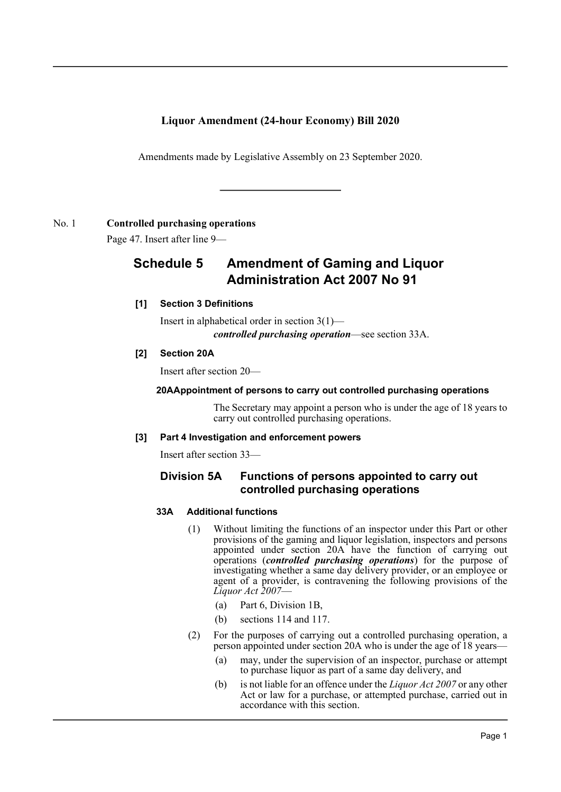# **Liquor Amendment (24-hour Economy) Bill 2020**

Amendments made by Legislative Assembly on 23 September 2020.

## No. 1 **Controlled purchasing operations**

Page 47. Insert after line 9—

# **Schedule 5 Amendment of Gaming and Liquor Administration Act 2007 No 91**

## **[1] Section 3 Definitions**

Insert in alphabetical order in section 3(1) *controlled purchasing operation*—see section 33A.

## **[2] Section 20A**

Insert after section 20—

## **20AAppointment of persons to carry out controlled purchasing operations**

The Secretary may appoint a person who is under the age of 18 years to carry out controlled purchasing operations.

#### **[3] Part 4 Investigation and enforcement powers**

Insert after section 33—

## **Division 5A Functions of persons appointed to carry out controlled purchasing operations**

#### **33A Additional functions**

- (1) Without limiting the functions of an inspector under this Part or other provisions of the gaming and liquor legislation, inspectors and persons appointed under section 20A have the function of carrying out operations (*controlled purchasing operations*) for the purpose of investigating whether a same day delivery provider, or an employee or agent of a provider, is contravening the following provisions of the *Liquor Act 2007*—
	- (a) Part 6, Division 1B,
	- (b) sections 114 and 117.
- (2) For the purposes of carrying out a controlled purchasing operation, a person appointed under section 20A who is under the age of 18 years—
	- (a) may, under the supervision of an inspector, purchase or attempt to purchase liquor as part of a same day delivery, and
	- (b) is not liable for an offence under the *Liquor Act 2007* or any other Act or law for a purchase, or attempted purchase, carried out in accordance with this section.